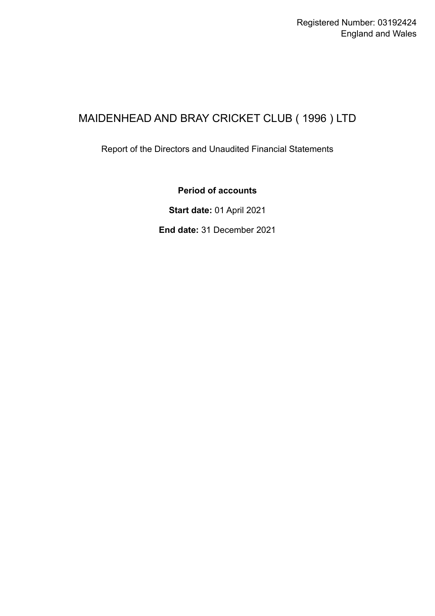# MAIDENHEAD AND BRAY CRICKET CLUB ( 1996 ) LTD

Report of the Directors and Unaudited Financial Statements

### **Period of accounts**

**Start date:** 01 April 2021

**End date:** 31 December 2021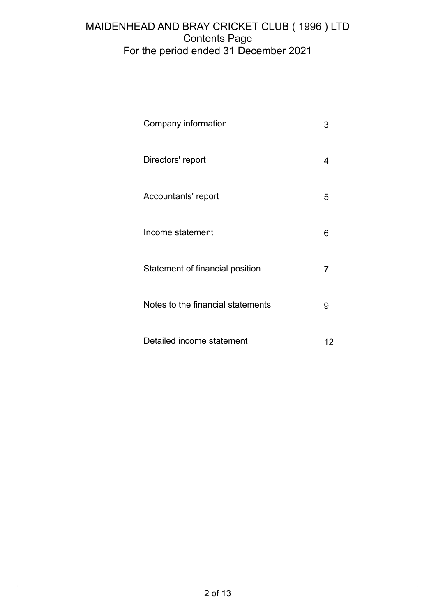## MAIDENHEAD AND BRAY CRICKET CLUB ( 1996 ) LTD Contents Page For the period ended 31 December 2021

| Company information               |   |
|-----------------------------------|---|
| Directors' report                 | 4 |
| Accountants' report               | 5 |
| Income statement                  | 6 |
| Statement of financial position   | 7 |
| Notes to the financial statements | 9 |
| Detailed income statement         |   |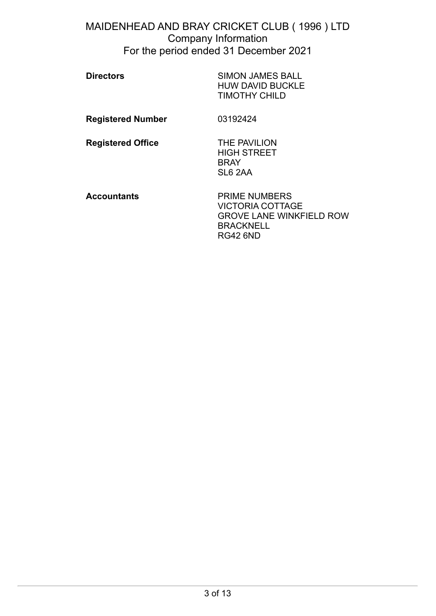### <span id="page-2-0"></span>MAIDENHEAD AND BRAY CRICKET CLUB ( 1996 ) LTD Company Information For the period ended 31 December 2021

| <b>Directors</b>         | <b>SIMON JAMES BALL</b><br><b>HUW DAVID BUCKLE</b><br><b>TIMOTHY CHILD</b>                                                |
|--------------------------|---------------------------------------------------------------------------------------------------------------------------|
| <b>Registered Number</b> | 03192424                                                                                                                  |
| <b>Registered Office</b> | THE PAVILION<br><b>HIGH STREET</b><br><b>BRAY</b><br>SL6 2AA                                                              |
| Accountants              | <b>PRIME NUMBERS</b><br><b>VICTORIA COTTAGE</b><br><b>GROVE LANE WINKFIELD ROW</b><br><b>BRACKNELL</b><br><b>RG42 6ND</b> |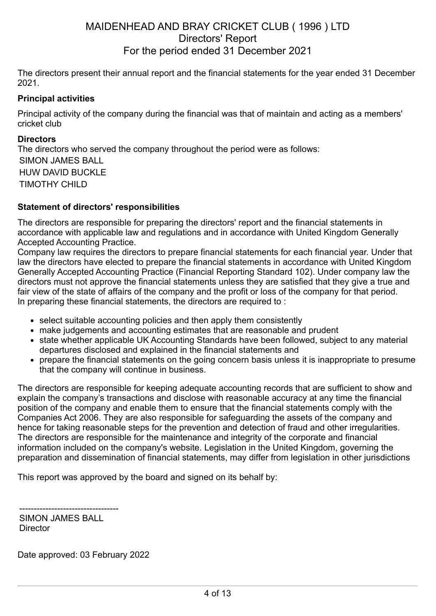## <span id="page-3-0"></span>MAIDENHEAD AND BRAY CRICKET CLUB ( 1996 ) LTD Directors' Report For the period ended 31 December 2021

The directors present their annual report and the financial statements for the year ended 31 December 2021.

### **Principal activities**

Principal activity of the company during the financial was that of maintain and acting as a members' cricket club

#### **Directors**

The directors who served the company throughout the period were as follows: SIMON JAMES BALL HUW DAVID BUCKLE TIMOTHY CHILD

#### **Statement of directors' responsibilities**

The directors are responsible for preparing the directors' report and the financial statements in accordance with applicable law and regulations and in accordance with United Kingdom Generally Accepted Accounting Practice.

Company law requires the directors to prepare financial statements for each financial year. Under that law the directors have elected to prepare the financial statements in accordance with United Kingdom Generally Accepted Accounting Practice (Financial Reporting Standard 102). Under company law the directors must not approve the financial statements unless they are satisfied that they give a true and fair view of the state of affairs of the company and the profit or loss of the company for that period. In preparing these financial statements, the directors are required to:

- select suitable accounting policies and then apply them consistently
- make judgements and accounting estimates that are reasonable and prudent
- state whether applicable UK Accounting Standards have been followed, subject to any material departures disclosed and explained in the financial statements and
- prepare the financial statements on the going concern basis unless it is inappropriate to presume that the company will continue in business.

The directors are responsible for keeping adequate accounting records that are sufficient to show and explain the company's transactions and disclose with reasonable accuracy at any time the financial position of the company and enable them to ensure that the financial statements comply with the Companies Act 2006. They are also responsible for safeguarding the assets of the company and hence for taking reasonable steps for the prevention and detection of fraud and other irregularities. The directors are responsible for the maintenance and integrity of the corporate and financial information included on the company's website. Legislation in the United Kingdom, governing the preparation and dissemination of financial statements, may differ from legislation in other jurisdictions

This report was approved by the board and signed on its behalf by:

---------------------------------- SIMON JAMES BALL **Director** 

Date approved: 03 February 2022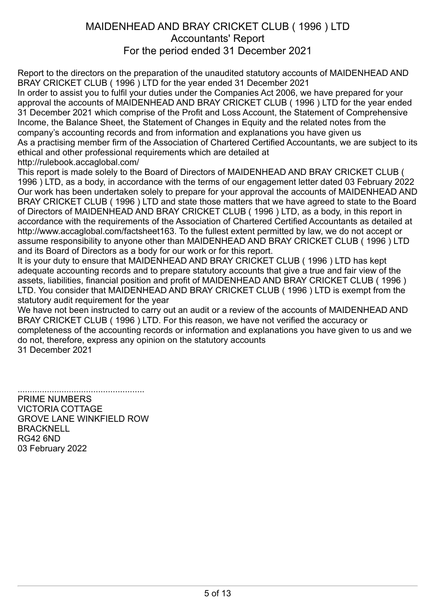## <span id="page-4-0"></span>MAIDENHEAD AND BRAY CRICKET CLUB ( 1996 ) LTD Accountants' Report For the period ended 31 December 2021

Report to the directors on the preparation of the unaudited statutory accounts of MAIDENHEAD AND BRAY CRICKET CLUB ( 1996 ) LTD for the year ended 31 December 2021

In order to assist you to fulfil your duties under the Companies Act 2006, we have prepared for your approval the accounts of MAIDENHEAD AND BRAY CRICKET CLUB ( 1996 ) LTD for the year ended 31 December 2021 which comprise of the Profit and Loss Account, the Statement of Comprehensive Income, the Balance Sheet, the Statement of Changes in Equity and the related notes from the company's accounting records and from information and explanations you have given us As a practising member firm of the Association of Chartered Certified Accountants, we are subject to its ethical and other professional requirements which are detailed at http://rulebook.accaglobal.com/

This report is made solely to the Board of Directors of MAIDENHEAD AND BRAY CRICKET CLUB ( 1996 ) LTD, as a body, in accordance with the terms of our engagement letter dated 03 February 2022 Our work has been undertaken solely to prepare for your approval the accounts of MAIDENHEAD AND BRAY CRICKET CLUB ( 1996 ) LTD and state those matters that we have agreed to state to the Board of Directors of MAIDENHEAD AND BRAY CRICKET CLUB ( 1996 ) LTD, as a body, in this report in accordance with the requirements of the Association of Chartered Certified Accountants as detailed at http://www.accaglobal.com/factsheet163. To the fullest extent permitted by law, we do not accept or assume responsibility to anyone other than MAIDENHEAD AND BRAY CRICKET CLUB ( 1996 ) LTD and its Board of Directors as a body for our work or for this report.

It is your duty to ensure that MAIDENHEAD AND BRAY CRICKET CLUB ( 1996 ) LTD has kept adequate accounting records and to prepare statutory accounts that give a true and fair view of the assets, liabilities, financial position and profit of MAIDENHEAD AND BRAY CRICKET CLUB ( 1996 ) LTD. You consider that MAIDENHEAD AND BRAY CRICKET CLUB ( 1996 ) LTD is exempt from the statutory audit requirement for the year

We have not been instructed to carry out an audit or a review of the accounts of MAIDENHEAD AND BRAY CRICKET CLUB ( 1996 ) LTD. For this reason, we have not verified the accuracy or completeness of the accounting records or information and explanations you have given to us and we do not, therefore, express any opinion on the statutory accounts 31 December 2021

.................................................... PRIME NUMBERS VICTORIA COTTAGE GROVE LANE WINKFIELD ROW **BRACKNELL** RG42 6ND 03 February 2022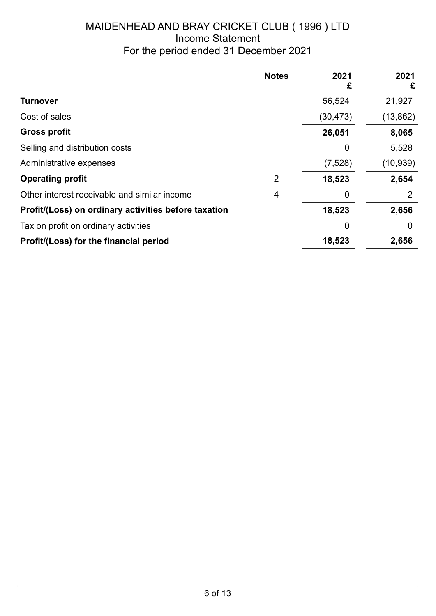## <span id="page-5-0"></span>MAIDENHEAD AND BRAY CRICKET CLUB ( 1996 ) LTD Income Statement For the period ended 31 December 2021

|                                                      | <b>Notes</b> | 2021<br>£ | 2021<br>£ |
|------------------------------------------------------|--------------|-----------|-----------|
| Turnover                                             |              | 56,524    | 21,927    |
| Cost of sales                                        |              | (30, 473) | (13, 862) |
| <b>Gross profit</b>                                  |              | 26,051    | 8,065     |
| Selling and distribution costs                       |              | 0         | 5,528     |
| Administrative expenses                              |              | (7,528)   | (10, 939) |
| <b>Operating profit</b>                              | 2            | 18,523    | 2,654     |
| Other interest receivable and similar income         | 4            | 0         | 2         |
| Profit/(Loss) on ordinary activities before taxation |              | 18,523    | 2,656     |
| Tax on profit on ordinary activities                 |              | 0         | 0         |
| Profit/(Loss) for the financial period               |              | 18,523    | 2,656     |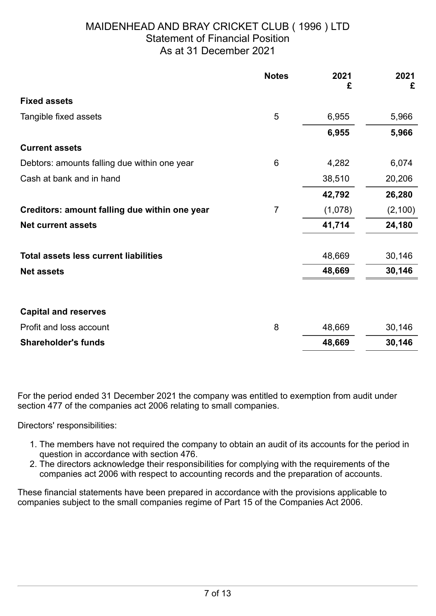## <span id="page-6-0"></span>MAIDENHEAD AND BRAY CRICKET CLUB ( 1996 ) LTD Statement of Financial Position As at 31 December 2021

|                                               | <b>Notes</b>   | 2021<br>£ | 2021<br>£ |
|-----------------------------------------------|----------------|-----------|-----------|
| <b>Fixed assets</b>                           |                |           |           |
| Tangible fixed assets                         | 5              | 6,955     | 5,966     |
|                                               |                | 6,955     | 5,966     |
| <b>Current assets</b>                         |                |           |           |
| Debtors: amounts falling due within one year  | 6              | 4,282     | 6,074     |
| Cash at bank and in hand                      |                | 38,510    | 20,206    |
|                                               |                | 42,792    | 26,280    |
| Creditors: amount falling due within one year | $\overline{7}$ | (1,078)   | (2, 100)  |
| <b>Net current assets</b>                     |                | 41,714    | 24,180    |
| <b>Total assets less current liabilities</b>  |                | 48,669    | 30,146    |
| <b>Net assets</b>                             |                | 48,669    | 30,146    |
| <b>Capital and reserves</b>                   |                |           |           |
| Profit and loss account                       | 8              | 48,669    | 30,146    |
| <b>Shareholder's funds</b>                    |                | 48,669    | 30,146    |

For the period ended 31 December 2021 the company was entitled to exemption from audit under section 477 of the companies act 2006 relating to small companies.

Directors' responsibilities:

- 1. The members have not required the company to obtain an audit of its accounts for the period in question in accordance with section 476.
- 2. The directors acknowledge their responsibilities for complying with the requirements of the companies act 2006 with respect to accounting records and the preparation of accounts.

These financial statements have been prepared in accordance with the provisions applicable to companies subject to the small companies regime of Part 15 of the Companies Act 2006.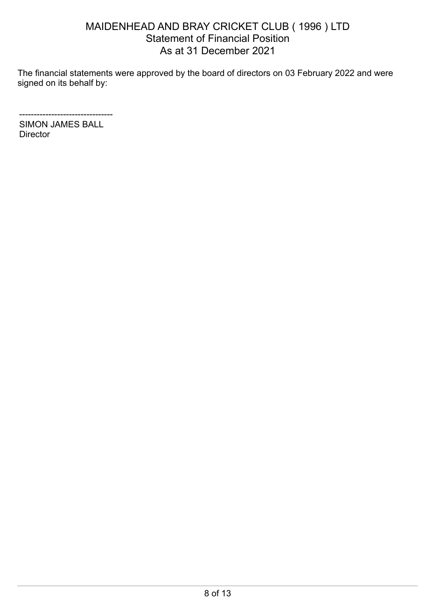## MAIDENHEAD AND BRAY CRICKET CLUB ( 1996 ) LTD Statement of Financial Position As at 31 December 2021

The financial statements were approved by the board of directors on 03 February 2022 and were signed on its behalf by:

-------------------------------- SIMON JAMES BALL **Director**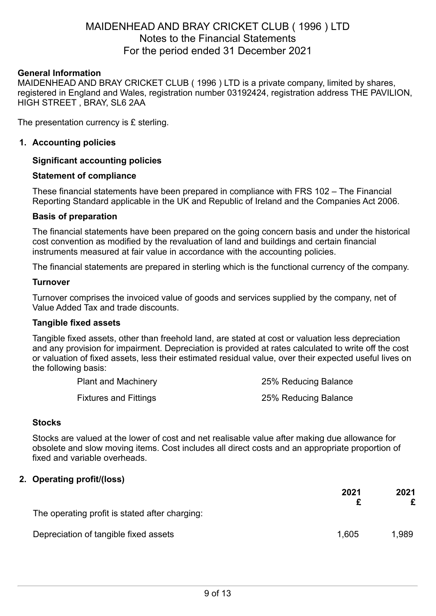### <span id="page-8-0"></span>MAIDENHEAD AND BRAY CRICKET CLUB ( 1996 ) LTD Notes to the Financial Statements For the period ended 31 December 2021

#### **General Information**

MAIDENHEAD AND BRAY CRICKET CLUB ( 1996 ) LTD is a private company, limited by shares, registered in England and Wales, registration number 03192424, registration address THE PAVILION, HIGH STREET , BRAY, SL6 2AA

The presentation currency is £ sterling.

#### **1. Accounting policies**

#### **Significant accounting policies**

#### **Statement of compliance**

These financial statements have been prepared in compliance with FRS 102 – The Financial Reporting Standard applicable in the UK and Republic of Ireland and the Companies Act 2006.

#### **Basis of preparation**

The financial statements have been prepared on the going concern basis and under the historical cost convention as modified by the revaluation of land and buildings and certain financial instruments measured at fair value in accordance with the accounting policies.

The financial statements are prepared in sterling which is the functional currency of the company.

#### **Turnover**

Turnover comprises the invoiced value of goods and services supplied by the company, net of Value Added Tax and trade discounts.

#### **Tangible fixed assets**

Tangible fixed assets, other than freehold land, are stated at cost or valuation less depreciation and any provision for impairment. Depreciation is provided at rates calculated to write off the cost or valuation of fixed assets, less their estimated residual value, over their expected useful lives on the following basis:

| <b>Plant and Machinery</b>   | 25% Reducing Balance |
|------------------------------|----------------------|
| <b>Fixtures and Fittings</b> | 25% Reducing Balance |

### **Stocks**

Stocks are valued at the lower of cost and net realisable value after making due allowance for obsolete and slow moving items. Cost includes all direct costs and an appropriate proportion of fixed and variable overheads.

#### **2. Operating profit/(loss)**

|                                                | 2021  | 2021  |
|------------------------------------------------|-------|-------|
| The operating profit is stated after charging: |       |       |
| Depreciation of tangible fixed assets          | 1.605 | 1.989 |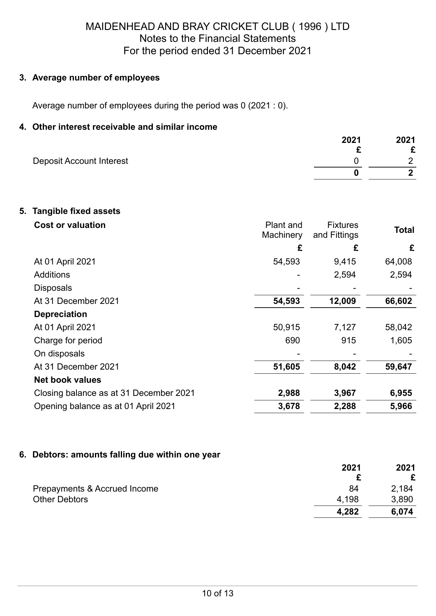## MAIDENHEAD AND BRAY CRICKET CLUB ( 1996 ) LTD Notes to the Financial Statements For the period ended 31 December 2021

### **3. Average number of employees**

Average number of employees during the period was 0 (2021 : 0).

### **4. Other interest receivable and similar income**

|                          | 2021 | 2021 |
|--------------------------|------|------|
|                          |      | ◠    |
| Deposit Account Interest |      | ◠    |
|                          |      |      |

### **5. Tangible fixed assets**

| <b>Cost or valuation</b>               | Plant and<br>Machinery | <b>Fixtures</b><br>and Fittings | <b>Total</b> |
|----------------------------------------|------------------------|---------------------------------|--------------|
|                                        | £                      | £                               | £            |
| At 01 April 2021                       | 54,593                 | 9,415                           | 64,008       |
| <b>Additions</b>                       |                        | 2,594                           | 2,594        |
| <b>Disposals</b>                       |                        |                                 |              |
| At 31 December 2021                    | 54,593                 | 12,009                          | 66,602       |
| <b>Depreciation</b>                    |                        |                                 |              |
| At 01 April 2021                       | 50,915                 | 7,127                           | 58,042       |
| Charge for period                      | 690                    | 915                             | 1,605        |
| On disposals                           |                        |                                 |              |
| At 31 December 2021                    | 51,605                 | 8,042                           | 59,647       |
| <b>Net book values</b>                 |                        |                                 |              |
| Closing balance as at 31 December 2021 | 2,988                  | 3,967                           | 6,955        |
| Opening balance as at 01 April 2021    | 3,678                  | 2,288                           | 5,966        |

### **6. Debtors: amounts falling due within one year**

|                              | 2021  | 2021  |
|------------------------------|-------|-------|
|                              |       |       |
| Prepayments & Accrued Income | 84    | 2.184 |
| <b>Other Debtors</b>         | 4,198 | 3,890 |
|                              | 4,282 | 6.074 |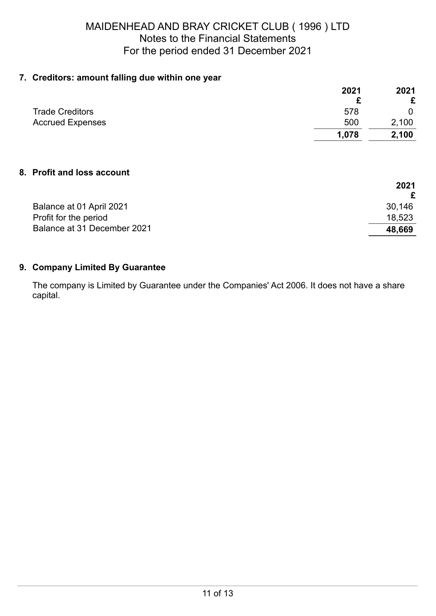## MAIDENHEAD AND BRAY CRICKET CLUB ( 1996 ) LTD Notes to the Financial Statements For the period ended 31 December 2021

### **7. Creditors: amount falling due within one year**

|                         | 2021  | 2021  |
|-------------------------|-------|-------|
|                         |       | £     |
| <b>Trade Creditors</b>  | 578   | 0     |
| <b>Accrued Expenses</b> | 500   | 2,100 |
|                         | 1,078 | 2,100 |
|                         |       |       |

**2021**

### **8. Profit and loss account**

|                             | 2021   |
|-----------------------------|--------|
| Balance at 01 April 2021    | 30,146 |
| Profit for the period       | 18,523 |
| Balance at 31 December 2021 | 48,669 |

### **9. Company Limited By Guarantee**

The company is Limited by Guarantee under the Companies' Act 2006. It does not have a share capital.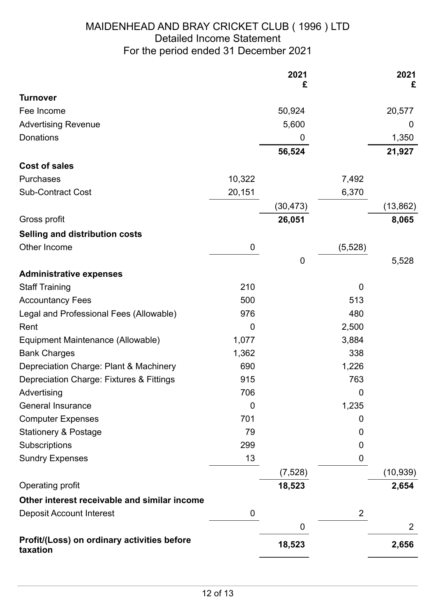## <span id="page-11-0"></span>MAIDENHEAD AND BRAY CRICKET CLUB ( 1996 ) LTD Detailed Income Statement For the period ended 31 December 2021

|                                                         |                | 2021<br>£ |                | 2021<br>£      |
|---------------------------------------------------------|----------------|-----------|----------------|----------------|
| <b>Turnover</b>                                         |                |           |                |                |
| Fee Income                                              |                | 50,924    |                | 20,577         |
| <b>Advertising Revenue</b>                              |                | 5,600     |                | 0              |
| Donations                                               |                | 0         |                | 1,350          |
|                                                         |                | 56,524    |                | 21,927         |
| <b>Cost of sales</b>                                    |                |           |                |                |
| Purchases                                               | 10,322         |           | 7,492          |                |
| <b>Sub-Contract Cost</b>                                | 20,151         |           | 6,370          |                |
|                                                         |                | (30, 473) |                | (13, 862)      |
| Gross profit                                            |                | 26,051    |                | 8,065          |
| <b>Selling and distribution costs</b>                   |                |           |                |                |
| Other Income                                            | 0              |           | (5, 528)       |                |
|                                                         |                | $\pmb{0}$ |                | 5,528          |
| <b>Administrative expenses</b>                          |                |           |                |                |
| <b>Staff Training</b>                                   | 210            |           | 0              |                |
| <b>Accountancy Fees</b>                                 | 500            |           | 513            |                |
| Legal and Professional Fees (Allowable)                 | 976            |           | 480            |                |
| Rent                                                    | $\Omega$       |           | 2,500          |                |
| Equipment Maintenance (Allowable)                       | 1,077          |           | 3,884          |                |
| <b>Bank Charges</b>                                     | 1,362          |           | 338            |                |
| Depreciation Charge: Plant & Machinery                  | 690            |           | 1,226          |                |
| Depreciation Charge: Fixtures & Fittings                | 915            |           | 763            |                |
| Advertising                                             | 706            |           | 0              |                |
| <b>General Insurance</b>                                | $\overline{0}$ |           | 1,235          |                |
| <b>Computer Expenses</b>                                | 701            |           | 0              |                |
| <b>Stationery &amp; Postage</b>                         | 79             |           | 0              |                |
| Subscriptions                                           | 299            |           | 0              |                |
| <b>Sundry Expenses</b>                                  | 13             |           | 0              |                |
|                                                         |                | (7, 528)  |                | (10, 939)      |
| Operating profit                                        |                | 18,523    |                | 2,654          |
| Other interest receivable and similar income            |                |           |                |                |
| <b>Deposit Account Interest</b>                         | $\mathbf 0$    |           | $\overline{2}$ |                |
|                                                         |                | 0         |                | $\overline{2}$ |
| Profit/(Loss) on ordinary activities before<br>taxation |                | 18,523    |                | 2,656          |